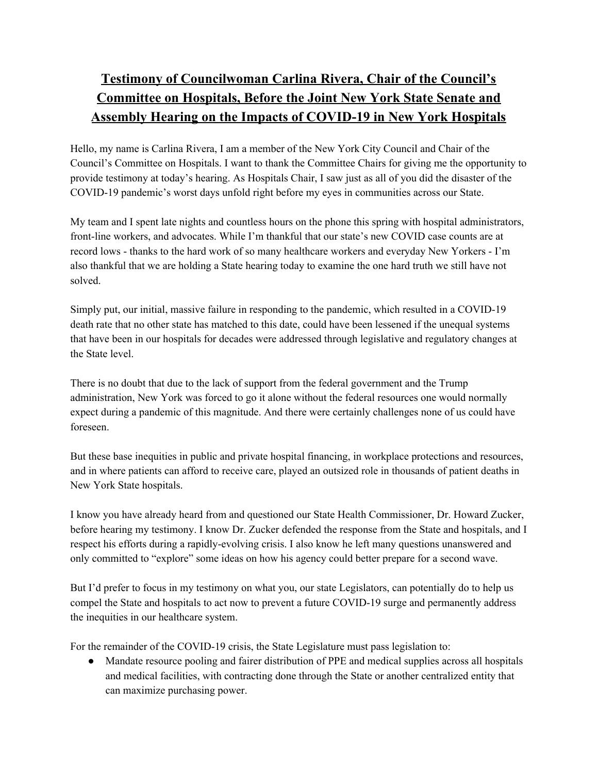## **Testimony of Councilwoman Carlina Rivera, Chair of the Council's Committee on Hospitals, Before the Joint New York State Senate and Assembly Hearing on the Impacts of COVID-19 in New York Hospitals**

Hello, my name is Carlina Rivera, I am a member of the New York City Council and Chair of the Council's Committee on Hospitals. I want to thank the Committee Chairs for giving me the opportunity to provide testimony at today's hearing. As Hospitals Chair, I saw just as all of you did the disaster of the COVID-19 pandemic's worst days unfold right before my eyes in communities across our State.

My team and I spent late nights and countless hours on the phone this spring with hospital administrators, front-line workers, and advocates. While I'm thankful that our state's new COVID case counts are at record lows - thanks to the hard work of so many healthcare workers and everyday New Yorkers - I'm also thankful that we are holding a State hearing today to examine the one hard truth we still have not solved.

Simply put, our initial, massive failure in responding to the pandemic, which resulted in a COVID-19 death rate that no other state has matched to this date, could have been lessened if the unequal systems that have been in our hospitals for decades were addressed through legislative and regulatory changes at the State level.

There is no doubt that due to the lack of support from the federal government and the Trump administration, New York was forced to go it alone without the federal resources one would normally expect during a pandemic of this magnitude. And there were certainly challenges none of us could have foreseen.

But these base inequities in public and private hospital financing, in workplace protections and resources, and in where patients can afford to receive care, played an outsized role in thousands of patient deaths in New York State hospitals.

I know you have already heard from and questioned our State Health Commissioner, Dr. Howard Zucker, before hearing my testimony. I know Dr. Zucker defended the response from the State and hospitals, and I respect his efforts during a rapidly-evolving crisis. I also know he left many questions unanswered and only committed to "explore" some ideas on how his agency could better prepare for a second wave.

But I'd prefer to focus in my testimony on what you, our state Legislators, can potentially do to help us compel the State and hospitals to act now to prevent a future COVID-19 surge and permanently address the inequities in our healthcare system.

For the remainder of the COVID-19 crisis, the State Legislature must pass legislation to:

● Mandate resource pooling and fairer distribution of PPE and medical supplies across all hospitals and medical facilities, with contracting done through the State or another centralized entity that can maximize purchasing power.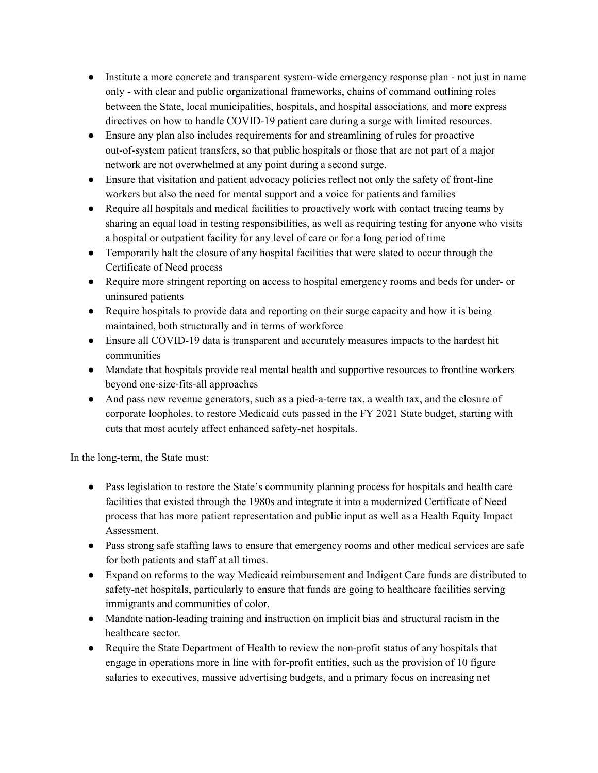- Institute a more concrete and transparent system-wide emergency response plan not just in name only - with clear and public organizational frameworks, chains of command outlining roles between the State, local municipalities, hospitals, and hospital associations, and more express directives on how to handle COVID-19 patient care during a surge with limited resources.
- Ensure any plan also includes requirements for and streamlining of rules for proactive out-of-system patient transfers, so that public hospitals or those that are not part of a major network are not overwhelmed at any point during a second surge.
- Ensure that visitation and patient advocacy policies reflect not only the safety of front-line workers but also the need for mental support and a voice for patients and families
- Require all hospitals and medical facilities to proactively work with contact tracing teams by sharing an equal load in testing responsibilities, as well as requiring testing for anyone who visits a hospital or outpatient facility for any level of care or for a long period of time
- Temporarily halt the closure of any hospital facilities that were slated to occur through the Certificate of Need process
- Require more stringent reporting on access to hospital emergency rooms and beds for under- or uninsured patients
- Require hospitals to provide data and reporting on their surge capacity and how it is being maintained, both structurally and in terms of workforce
- Ensure all COVID-19 data is transparent and accurately measures impacts to the hardest hit communities
- Mandate that hospitals provide real mental health and supportive resources to frontline workers beyond one-size-fits-all approaches
- And pass new revenue generators, such as a pied-a-terre tax, a wealth tax, and the closure of corporate loopholes, to restore Medicaid cuts passed in the FY 2021 State budget, starting with cuts that most acutely affect enhanced safety-net hospitals.

In the long-term, the State must:

- Pass legislation to restore the State's community planning process for hospitals and health care facilities that existed through the 1980s and integrate it into a modernized Certificate of Need process that has more patient representation and public input as well as a Health Equity Impact Assessment.
- Pass strong safe staffing laws to ensure that emergency rooms and other medical services are safe for both patients and staff at all times.
- Expand on reforms to the way Medicaid reimbursement and Indigent Care funds are distributed to safety-net hospitals, particularly to ensure that funds are going to healthcare facilities serving immigrants and communities of color.
- Mandate nation-leading training and instruction on implicit bias and structural racism in the healthcare sector.
- Require the State Department of Health to review the non-profit status of any hospitals that engage in operations more in line with for-profit entities, such as the provision of 10 figure salaries to executives, massive advertising budgets, and a primary focus on increasing net